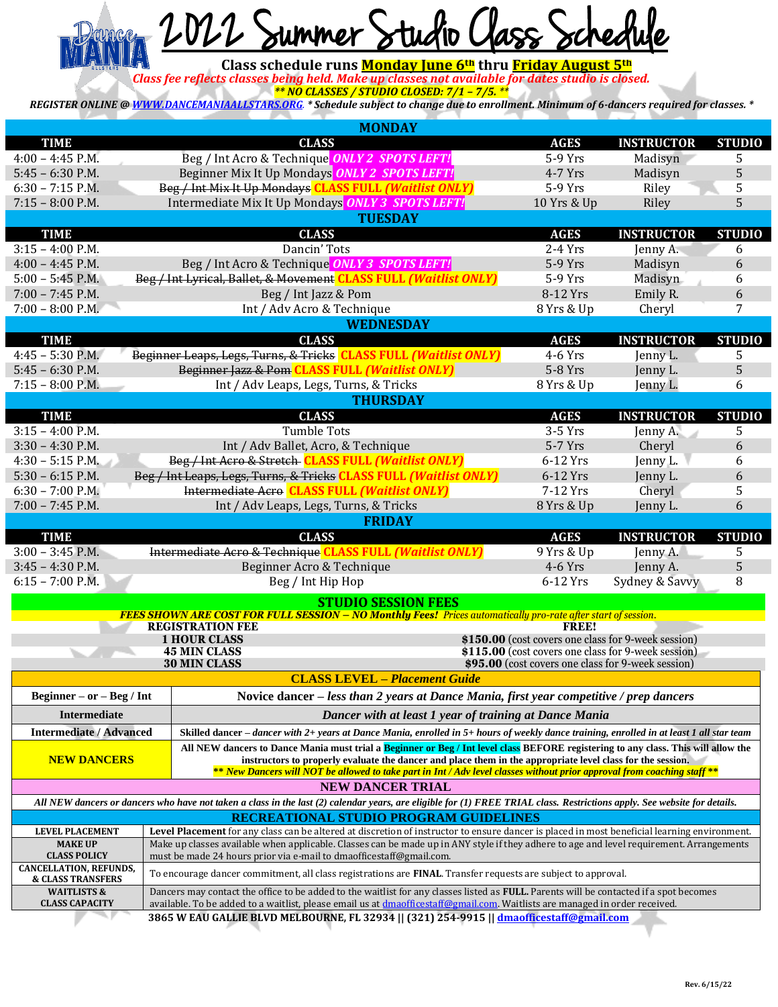

*Class fee reflects classes being held. Make up classes not available for dates studio is closed. \*\* NO CLASSES / STUDIO CLOSED: 7/1 – 7/5. \*\**

*REGISTER ONLINE [@ WWW.DANCEMANIAALLSTARS.ORG](http://www.dancemaniaallstars.org/). \* Schedule subject to change due to enrollment. Minimum of 6-dancers required for classes. \**

| <b>MONDAY</b>                                        |  |                                                                                                                                                                                                                                                                       |              |                                                     |               |  |
|------------------------------------------------------|--|-----------------------------------------------------------------------------------------------------------------------------------------------------------------------------------------------------------------------------------------------------------------------|--------------|-----------------------------------------------------|---------------|--|
| <b>TIME</b>                                          |  | <b>CLASS</b>                                                                                                                                                                                                                                                          | <b>AGES</b>  | <b>INSTRUCTOR</b>                                   | <b>STUDIO</b> |  |
| $4:00 - 4:45$ P.M.                                   |  | Beg / Int Acro & Technique ONLY 2 SPOTS LEFT!                                                                                                                                                                                                                         | 5-9 Yrs      | Madisyn                                             | 5             |  |
| $5:45 - 6:30$ P.M.                                   |  | Beginner Mix It Up Mondays ONLY 2 SPOTS LEFT!                                                                                                                                                                                                                         | 4-7 Yrs      | Madisyn                                             | 5             |  |
| $6:30 - 7:15$ P.M.                                   |  | Beg / Int Mix It Up Mondays CLASS FULL (Waitlist ONLY)                                                                                                                                                                                                                | 5-9 Yrs      | Riley                                               | 5             |  |
| $7:15 - 8:00$ P.M.                                   |  | Intermediate Mix It Up Mondays ONLY 3 SPOTS LEFT!                                                                                                                                                                                                                     | 10 Yrs & Up  | Riley                                               | 5             |  |
|                                                      |  | <b>TUESDAY</b>                                                                                                                                                                                                                                                        |              |                                                     |               |  |
| <b>TIME</b>                                          |  | <b>CLASS</b>                                                                                                                                                                                                                                                          | <b>AGES</b>  | <b>INSTRUCTOR</b>                                   | <b>STUDIO</b> |  |
| $3:15 - 4:00$ P.M.                                   |  | Dancin' Tots                                                                                                                                                                                                                                                          | $2-4$ Yrs    | Jenny A.                                            | 6             |  |
| $4:00 - 4:45$ P.M.                                   |  | Beg / Int Acro & Technique ONLY 3 SPOTS LEFT!                                                                                                                                                                                                                         | 5-9 Yrs      | Madisyn                                             | 6             |  |
| $5:00 - 5:45$ P.M.                                   |  | Beg / Int Lyrical, Ballet, & Movement CLASS FULL (Waitlist ONLY)                                                                                                                                                                                                      | 5-9 Yrs      | Madisyn                                             | 6             |  |
| $7:00 - 7:45$ P.M.                                   |  | Beg / Int Jazz & Pom                                                                                                                                                                                                                                                  | 8-12 Yrs     | Emily R.                                            | 6             |  |
| $7:00 - 8:00$ P.M.                                   |  | Int / Adv Acro & Technique                                                                                                                                                                                                                                            | 8 Yrs & Up   | Cheryl                                              | 7             |  |
| <b>WEDNESDAY</b>                                     |  |                                                                                                                                                                                                                                                                       |              |                                                     |               |  |
| <b>TIME</b>                                          |  | <b>CLASS</b>                                                                                                                                                                                                                                                          | <b>AGES</b>  | <b>INSTRUCTOR</b>                                   | <b>STUDIO</b> |  |
| $4:45 - 5:30$ P.M.                                   |  | Beginner Leaps, Legs, Turns, & Tricks CLASS FULL (Waitlist ONLY)                                                                                                                                                                                                      | 4-6 Yrs      | Jenny L.                                            | 5             |  |
| $5:45 - 6:30$ P.M.                                   |  | Beginner Jazz & Pom CLASS FULL (Waitlist ONLY)                                                                                                                                                                                                                        | 5-8 Yrs      | Jenny L.                                            | 5             |  |
| $7:15 - 8:00$ P.M.                                   |  | Int / Adv Leaps, Legs, Turns, & Tricks                                                                                                                                                                                                                                | 8 Yrs & Up   | Jenny L.                                            | 6             |  |
|                                                      |  | <b>THURSDAY</b>                                                                                                                                                                                                                                                       |              |                                                     |               |  |
| <b>TIME</b>                                          |  | <b>CLASS</b>                                                                                                                                                                                                                                                          | <b>AGES</b>  | <b>INSTRUCTOR</b>                                   | <b>STUDIO</b> |  |
| $3:15 - 4:00$ P.M.                                   |  | <b>Tumble Tots</b>                                                                                                                                                                                                                                                    | 3-5 Yrs      | Jenny A.                                            | 5             |  |
| $3:30 - 4:30$ P.M.                                   |  | Int / Adv Ballet, Acro, & Technique                                                                                                                                                                                                                                   | 5-7 Yrs      | Cheryl                                              | 6             |  |
| $4:30 - 5:15$ P.M.                                   |  | Beg / Int Acro & Stretch CLASS FULL (Waitlist ONLY)                                                                                                                                                                                                                   | 6-12 Yrs     | Jenny L.                                            | 6             |  |
| $5:30 - 6:15$ P.M.                                   |  | Beg / Int Leaps, Legs, Turns, & Tricks CLASS FULL (Waitlist ONLY)                                                                                                                                                                                                     | 6-12 Yrs     | Jenny L.                                            | 6             |  |
| $6:30 - 7:00$ P.M.                                   |  | Intermediate Acro CLASS FULL (Waitlist ONLY)                                                                                                                                                                                                                          | 7-12 Yrs     | Cheryl                                              | 5             |  |
| $7:00 - 7:45$ P.M.                                   |  | Int / Adv Leaps, Legs, Turns, & Tricks                                                                                                                                                                                                                                | 8 Yrs & Up   | Jenny L.                                            | 6             |  |
|                                                      |  |                                                                                                                                                                                                                                                                       |              |                                                     |               |  |
|                                                      |  | <b>FRIDAY</b>                                                                                                                                                                                                                                                         |              |                                                     |               |  |
| <b>TIME</b>                                          |  | <b>CLASS</b>                                                                                                                                                                                                                                                          | <b>AGES</b>  | <b>INSTRUCTOR</b>                                   | <b>STUDIO</b> |  |
| $3:00 - 3:45$ P.M.                                   |  | Intermediate Acro & Technique CLASS FULL (Waitlist ONLY)                                                                                                                                                                                                              | 9 Yrs & Up   | Jenny A.                                            | 5             |  |
| $3:45 - 4:30$ P.M.                                   |  | Beginner Acro & Technique                                                                                                                                                                                                                                             | 4-6 Yrs      | Jenny A.                                            | 5             |  |
| $6:15 - 7:00$ P.M.                                   |  | Beg / Int Hip Hop                                                                                                                                                                                                                                                     | 6-12 Yrs     | Sydney & Savvy                                      | 8             |  |
|                                                      |  |                                                                                                                                                                                                                                                                       |              |                                                     |               |  |
|                                                      |  | <b>STUDIO SESSION FEES</b><br>FEES SHOWN ARE COST FOR FULL SESSION - NO Monthly Fees! Prices automatically pro-rate after start of session.                                                                                                                           |              |                                                     |               |  |
|                                                      |  | <b>REGISTRATION FEE</b>                                                                                                                                                                                                                                               | <b>FREE!</b> |                                                     |               |  |
|                                                      |  | <b>1 HOUR CLASS</b>                                                                                                                                                                                                                                                   |              | \$150.00 (cost covers one class for 9-week session) |               |  |
|                                                      |  | <b>45 MIN CLASS</b>                                                                                                                                                                                                                                                   |              | \$115.00 (cost covers one class for 9-week session) |               |  |
|                                                      |  | <b>30 MIN CLASS</b>                                                                                                                                                                                                                                                   |              | \$95.00 (cost covers one class for 9-week session)  |               |  |
|                                                      |  | <b>CLASS LEVEL - Placement Guide</b>                                                                                                                                                                                                                                  |              |                                                     |               |  |
| Beginner – or – Beg / Int                            |  | Novice dancer $-$ less than 2 years at Dance Mania, first year competitive / prep dancers                                                                                                                                                                             |              |                                                     |               |  |
| <b>Intermediate</b>                                  |  | Dancer with at least 1 year of training at Dance Mania                                                                                                                                                                                                                |              |                                                     |               |  |
| <b>Intermediate / Advanced</b>                       |  | Skilled dancer - dancer with 2+ years at Dance Mania, enrolled in 5+ hours of weekly dance training, enrolled in at least 1 all star team                                                                                                                             |              |                                                     |               |  |
|                                                      |  | All NEW dancers to Dance Mania must trial a Beginner or Beg / Int level class BEFORE registering to any class. This will allow the                                                                                                                                    |              |                                                     |               |  |
| <b>NEW DANCERS</b>                                   |  | instructors to properly evaluate the dancer and place them in the appropriate level class for the session.                                                                                                                                                            |              |                                                     |               |  |
|                                                      |  | ** New Dancers will NOT be allowed to take part in Int / Adv level classes without prior approval from coaching staff **                                                                                                                                              |              |                                                     |               |  |
|                                                      |  | <b>NEW DANCER TRIAL</b>                                                                                                                                                                                                                                               |              |                                                     |               |  |
|                                                      |  | All NEW dancers or dancers who have not taken a class in the last (2) calendar years, are eligible for (1) FREE TRIAL class. Restrictions apply. See website for details.                                                                                             |              |                                                     |               |  |
| <b>LEVEL PLACEMENT</b>                               |  | RECREATIONAL STUDIO PROGRAM GUIDELINES<br>Level Placement for any class can be altered at discretion of instructor to ensure dancer is placed in most beneficial learning environment.                                                                                |              |                                                     |               |  |
| <b>MAKE UP</b>                                       |  | Make up classes available when applicable. Classes can be made up in ANY style if they adhere to age and level requirement. Arrangements                                                                                                                              |              |                                                     |               |  |
| <b>CLASS POLICY</b><br><b>CANCELLATION, REFUNDS,</b> |  | must be made 24 hours prior via e-mail to dmaofficestaff@gmail.com.                                                                                                                                                                                                   |              |                                                     |               |  |
| <b>&amp; CLASS TRANSFERS</b>                         |  | To encourage dancer commitment, all class registrations are FINAL. Transfer requests are subject to approval.                                                                                                                                                         |              |                                                     |               |  |
| <b>WAITLISTS &amp;</b><br><b>CLASS CAPACITY</b>      |  | Dancers may contact the office to be added to the waitlist for any classes listed as FULL. Parents will be contacted if a spot becomes<br>available. To be added to a waitlist, please email us at dmaofficestaff@gmail.com. Waitlists are managed in order received. |              |                                                     |               |  |